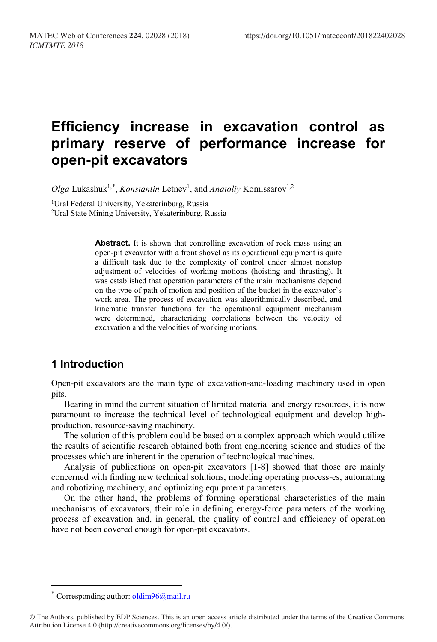# **Efficiency increase in excavation control as primary reserve of performance increase for open-pit excavators**

Olga Lukashuk<sup>1,[\\*](#page-0-0)</sup>, *Konstantin* Letnev<sup>1</sup>, and *Anatoliy* Komissarov<sup>1,2</sup>

<sup>1</sup>Ural Federal University, Yekaterinburg, Russia 2Ural State Mining University, Yekaterinburg, Russia

> **Abstract.** It is shown that controlling excavation of rock mass using an open-pit excavator with a front shovel as its operational equipment is quite a difficult task due to the complexity of control under almost nonstop adjustment of velocities of working motions (hoisting and thrusting). It was established that operation parameters of the main mechanisms depend on the type of path of motion and position of the bucket in the excavator's work area. The process of excavation was algorithmically described, and kinematic transfer functions for the operational equipment mechanism were determined, characterizing correlations between the velocity of excavation and the velocities of working motions.

## **1 Introduction**

Open-pit excavators are the main type of excavation-and-loading machinery used in open pits.

Bearing in mind the current situation of limited material and energy resources, it is now paramount to increase the technical level of technological equipment and develop highproduction, resource-saving machinery.

The solution of this problem could be based on a complex approach which would utilize the results of scientific research obtained both from engineering science and studies of the processes which are inherent in the operation of technological machines.

Analysis of publications on open-pit excavators [1-8] showed that those are mainly concerned with finding new technical solutions, modeling operating process-es, automating and robotizing machinery, and optimizing equipment parameters.

On the other hand, the problems of forming operational characteristics of the main mechanisms of excavators, their role in defining energy-force parameters of the working process of excavation and, in general, the quality of control and efficiency of operation have not been covered enough for open-pit excavators.

 $\overline{a}$ 

<sup>\*</sup> Corresponding author:  $\frac{oldim96(a)}{mail.}$ ru

<span id="page-0-0"></span><sup>©</sup> The Authors, published by EDP Sciences. This is an open access article distributed under the terms of the Creative Commons Attribution License 4.0 (http://creativecommons.org/licenses/by/4.0/).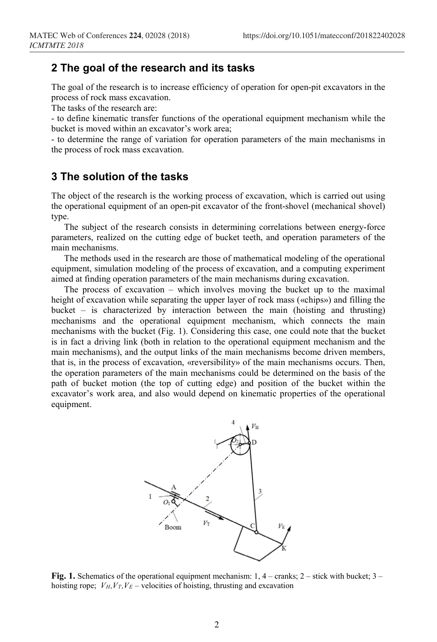### **2 The goal of the research and its tasks**

The goal of the research is to increase efficiency of operation for open-pit excavators in the process of rock mass excavation.

The tasks of the research are:

- to define kinematic transfer functions of the operational equipment mechanism while the bucket is moved within an excavator's work area;

- to determine the range of variation for operation parameters of the main mechanisms in the process of rock mass excavation.

#### **3 The solution of the tasks**

The object of the research is the working process of excavation, which is carried out using the operational equipment of an open-pit excavator of the front-shovel (mechanical shovel) type.

The subject of the research consists in determining correlations between energy-force parameters, realized on the cutting edge of bucket teeth, and operation parameters of the main mechanisms.

The methods used in the research are those of mathematical modeling of the operational equipment, simulation modeling of the process of excavation, and a computing experiment aimed at finding operation parameters of the main mechanisms during excavation.

The process of excavation – which involves moving the bucket up to the maximal height of excavation while separating the upper layer of rock mass («chips») and filling the bucket – is characterized by interaction between the main (hoisting and thrusting) mechanisms and the operational equipment mechanism, which connects the main mechanisms with the bucket (Fig. 1). Considering this case, one could note that the bucket is in fact a driving link (both in relation to the operational equipment mechanism and the main mechanisms), and the output links of the main mechanisms become driven members, that is, in the process of excavation, «reversibility» of the main mechanisms occurs. Then, the operation parameters of the main mechanisms could be determined on the basis of the path of bucket motion (the top of cutting edge) and position of the bucket within the excavator's work area, and also would depend on kinematic properties of the operational equipment.



**Fig. 1.** Schematics of the operational equipment mechanism: 1, 4 – cranks; 2 – stick with bucket; 3 – hoisting rope;  $V_H$ ,  $V_T$ ,  $V_E$  – velocities of hoisting, thrusting and excavation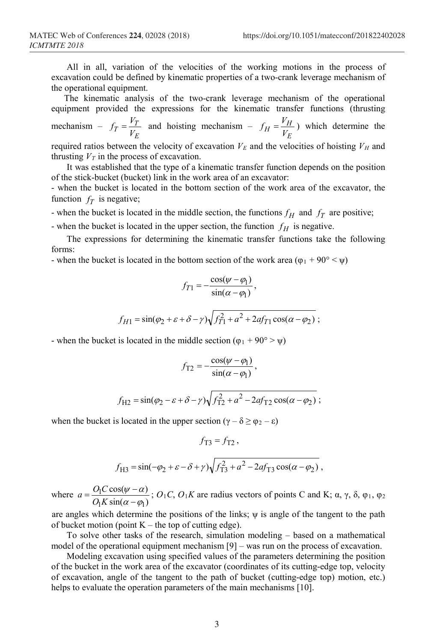All in all, variation of the velocities of the working motions in the process of excavation could be defined by kinematic properties of a two-crank leverage mechanism of the operational equipment.

The kinematic analysis of the two-crank leverage mechanism of the operational equipment provided the expressions for the kinematic transfer functions (thrusting mechanism – *E*  $f_T = \frac{V_T}{V_E}$  and hoisting mechanism – *E*  $f_H = \frac{V_H}{V_E}$ ) which determine the required ratios between the velocity of excavation  $V_E$  and the velocities of hoisting  $V_H$  and

thrusting  $V_T$  in the process of excavation. It was established that the type of a kinematic transfer function depends on the position

of the stick-bucket (bucket) link in the work area of an excavator: - when the bucket is located in the bottom section of the work area of the excavator, the

function  $f<sub>T</sub>$  is negative;

- when the bucket is located in the middle section, the functions  $f_H$  and  $f_T$  are positive;

- when the bucket is located in the upper section, the function  $f_H$  is negative.

The expressions for determining the kinematic transfer functions take the following forms:

- when the bucket is located in the bottom section of the work area ( $\varphi_1 + 90^\circ < \psi$ )

$$
f_{T1} = -\frac{\cos(\psi - \varphi_1)}{\sin(\alpha - \varphi_1)},
$$

$$
f_{H1} = \sin(\varphi_2 + \varepsilon + \delta - \gamma) \sqrt{f_{T1}^2 + a^2 + 2af_{T1}\cos(\alpha - \varphi_2)};
$$

- when the bucket is located in the middle section ( $\varphi_1 + 90^\circ > \psi$ )

$$
f_{\text{T2}} = -\frac{\cos(\psi - \varphi_1)}{\sin(\alpha - \varphi_1)},
$$

$$
f_{\mathrm{H2}} = \sin(\varphi_2 - \varepsilon + \delta - \gamma) \sqrt{f_{\mathrm{T2}}^2 + a^2 - 2af_{\mathrm{T2}}\cos(\alpha - \varphi_2)}\,,
$$

when the bucket is located in the upper section ( $\gamma - \delta \ge \varphi_2 - \varepsilon$ )

$$
f_{\text{H3}} = \sin(-\varphi_2 + \varepsilon - \delta + \gamma) \sqrt{f_{\text{T3}}^2 + a^2 - 2af_{\text{T3}}\cos(\alpha - \varphi_2)} \,,
$$

 $f_{\text{T2}} = f_{\text{T2}}$ .

where  $a = \frac{\partial [\csc(\phi - \alpha)]}{\partial K \sin(\alpha - \varphi)}$  $cos(\psi - \alpha)$  $\eta$ a sin $(\alpha - \varphi_1)$  $\overline{1}$  $\alpha$  –  $\varphi$  $\psi - \alpha$  $a = \frac{O_1 C \cos(\psi - \alpha)}{O_1 K \sin(\alpha - \varphi_1)}$ ;  $O_1 C$ ,  $O_1 K$  are radius vectors of points C and K;  $\alpha$ ,  $\gamma$ ,  $\delta$ ,  $\varphi_1$ ,  $\varphi_2$ 

are angles which determine the positions of the links;  $\psi$  is angle of the tangent to the path of bucket motion (point  $K$  – the top of cutting edge).

To solve other tasks of the research, simulation modeling – based on a mathematical model of the operational equipment mechanism [9] – was run on the process of excavation.

Modeling excavation using specified values of the parameters determining the position of the bucket in the work area of the excavator (coordinates of its cutting-edge top, velocity of excavation, angle of the tangent to the path of bucket (cutting-edge top) motion, etc.) helps to evaluate the operation parameters of the main mechanisms [10].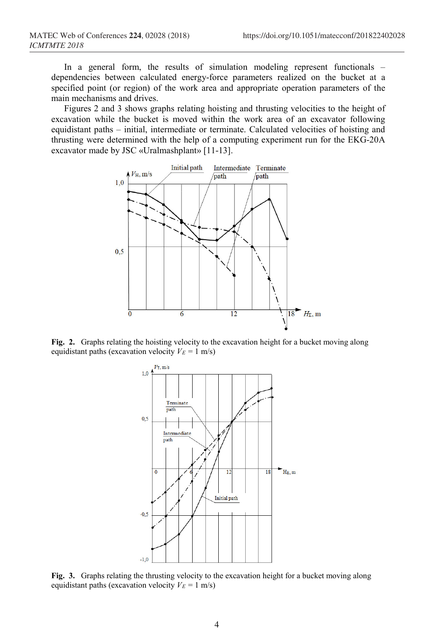In a general form, the results of simulation modeling represent functionals – dependencies between calculated energy-force parameters realized on the bucket at a specified point (or region) of the work area and appropriate operation parameters of the main mechanisms and drives.

Figures 2 and 3 shows graphs relating hoisting and thrusting velocities to the height of excavation while the bucket is moved within the work area of an excavator following equidistant paths – initial, intermediate or terminate. Calculated velocities of hoisting and thrusting were determined with the help of a computing experiment run for the EKG-20A excavator made by JSC «Uralmashplant» [11-13].



**Fig. 2.** Graphs relating the hoisting velocity to the excavation height for a bucket moving along equidistant paths (excavation velocity  $V_E = 1$  m/s)



**Fig. 3.** Graphs relating the thrusting velocity to the excavation height for a bucket moving along equidistant paths (excavation velocity  $V_E = 1$  m/s)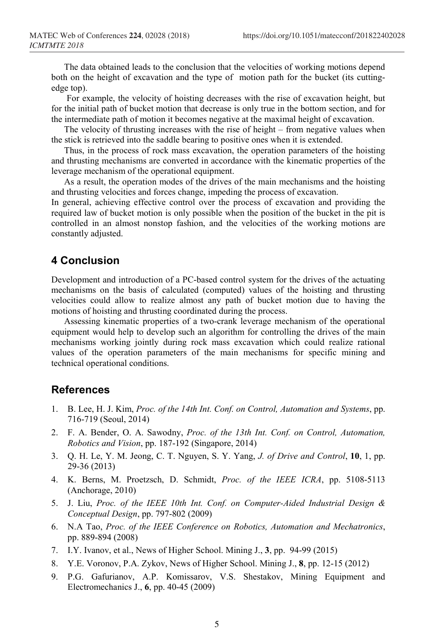The data obtained leads to the conclusion that the velocities of working motions depend both on the height of excavation and the type of motion path for the bucket (its cuttingedge top).

For example, the velocity of hoisting decreases with the rise of excavation height, but for the initial path of bucket motion that decrease is only true in the bottom section, and for the intermediate path of motion it becomes negative at the maximal height of excavation.

The velocity of thrusting increases with the rise of height – from negative values when the stick is retrieved into the saddle bearing to positive ones when it is extended.

Thus, in the process of rock mass excavation, the operation parameters of the hoisting and thrusting mechanisms are converted in accordance with the kinematic properties of the leverage mechanism of the operational equipment.

As a result, the operation modes of the drives of the main mechanisms and the hoisting and thrusting velocities and forces change, impeding the process of excavation.

In general, achieving effective control over the process of excavation and providing the required law of bucket motion is only possible when the position of the bucket in the pit is controlled in an almost nonstop fashion, and the velocities of the working motions are constantly adjusted.

#### **4 Conclusion**

Development and introduction of a PC-based control system for the drives of the actuating mechanisms on the basis of calculated (computed) values of the hoisting and thrusting velocities could allow to realize almost any path of bucket motion due to having the motions of hoisting and thrusting coordinated during the process.

Assessing kinematic properties of a two-crank leverage mechanism of the operational equipment would help to develop such an algorithm for controlling the drives of the main mechanisms working jointly during rock mass excavation which could realize rational values of the operation parameters of the main mechanisms for specific mining and technical operational conditions.

#### **References**

- 1. B. Lee, H. J. Kim, *Proc. of the 14th Int. Conf. on Control, Automation and Systems*, pp. 716-719 (Seoul, 2014)
- 2. F. A. Bender, O. A. Sawodny, *Proc. of the 13th Int. Conf. on Control, Automation, Robotics and Vision*, pp. 187-192 (Singapore, 2014)
- 3. Q. H. Le, Y. M. Jeong, C. T. Nguyen, S. Y. Yang, *J. of Drive and Control*, **10**, 1, pp. 29-36 (2013)
- 4. K. Berns, M. Proetzsch, D. Schmidt, *Proc. of the IEEE ICRA*, pp. 5108-5113 (Anchorage, 2010)
- 5. J. Liu, *Proc. of the IEEE 10th Int. Conf. on Computer-Aided Industrial Design & Conceptual Design*, pp. 797-802 (2009)
- 6. N.A Tao, *Proc. of the IEEE Conference on Robotics, Automation and Mechatronics*, pp. 889-894 (2008)
- 7. I.Y. Ivanov, et al., News of Higher School. Mining J., **3**, pp. 94-99 (2015)
- 8. Y.E. Voronov, P.A. Zykov, News of Higher School. Mining J., **8**, pp. 12-15 (2012)
- 9. P.G. Gafurianov, A.P. Komissarov, V.S. Shestakov, Mining Equipment and Electromechanics J., **6**, pp. 40-45 (2009)